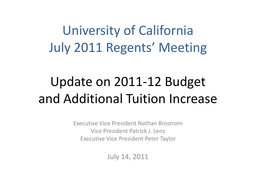University of California July 2011 Regents' Meeting

## Update on 2011-12 Budget and Additional Tuition Increase

Executive Vice President Nathan Brostrom Vice President Patrick J. Lenz Executive Vice President Peter Taylor

July 14, 2011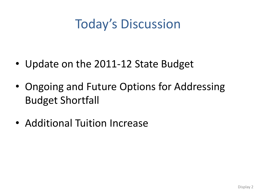## Today's Discussion

- Update on the 2011-12 State Budget
- Ongoing and Future Options for Addressing Budget Shortfall
- Additional Tuition Increase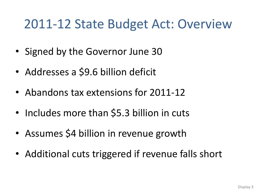#### 2011-12 State Budget Act: Overview

- Signed by the Governor June 30
- Addresses a \$9.6 billion deficit
- Abandons tax extensions for 2011-12
- Includes more than \$5.3 billion in cuts
- Assumes \$4 billion in revenue growth
- Additional cuts triggered if revenue falls short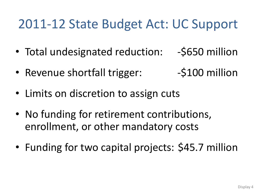## 2011-12 State Budget Act: UC Support

- Total undesignated reduction: -\$650 million
- Revenue shortfall trigger: -\$100 million
- Limits on discretion to assign cuts
- No funding for retirement contributions, enrollment, or other mandatory costs
- Funding for two capital projects: \$45.7 million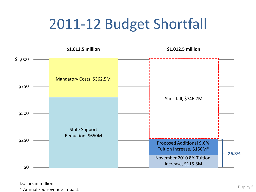# 2011-12 Budget Shortfall



Dollars in millions.

\* Annualized revenue impact. Display 5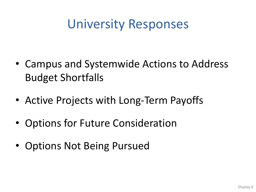## University Responses

- Campus and Systemwide Actions to Address Budget Shortfalls
- Active Projects with Long-Term Payoffs
- Options for Future Consideration
- Options Not Being Pursued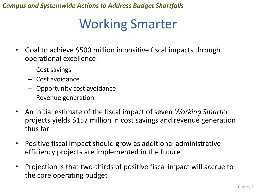## Working Smarter

- Goal to achieve \$500 million in positive fiscal impacts through operational excellence:
	- Cost savings
	- Cost avoidance
	- Opportunity cost avoidance
	- Revenue generation
- An initial estimate of the fiscal impact of seven *Working Smarter*  projects yields \$157 million in cost savings and revenue generation thus far
- Positive fiscal impact should grow as additional administrative efficiency projects are implemented in the future
- Projection is that two-thirds of positive fiscal impact will accrue to the core operating budget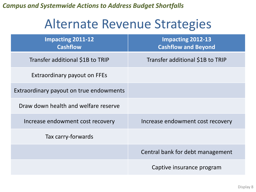#### Alternate Revenue Strategies

| <b>Impacting 2011-12</b><br><b>Cashflow</b> | <b>Impacting 2012-13</b><br><b>Cashflow and Beyond</b> |
|---------------------------------------------|--------------------------------------------------------|
| Transfer additional \$1B to TRIP            | Transfer additional \$1B to TRIP                       |
| Extraordinary payout on FFEs                |                                                        |
| Extraordinary payout on true endowments     |                                                        |
| Draw down health and welfare reserve        |                                                        |
| Increase endowment cost recovery            | Increase endowment cost recovery                       |
| Tax carry-forwards                          |                                                        |
|                                             | Central bank for debt management                       |
|                                             | Captive insurance program                              |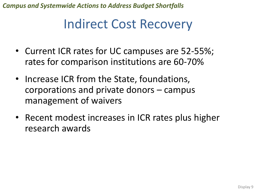#### Indirect Cost Recovery

- Current ICR rates for UC campuses are 52-55%; rates for comparison institutions are 60-70%
- Increase ICR from the State, foundations, corporations and private donors – campus management of waivers
- Recent modest increases in ICR rates plus higher research awards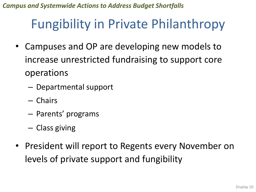## Fungibility in Private Philanthropy

- Campuses and OP are developing new models to increase unrestricted fundraising to support core operations
	- Departmental support
	- Chairs
	- Parents' programs
	- Class giving
- President will report to Regents every November on levels of private support and fungibility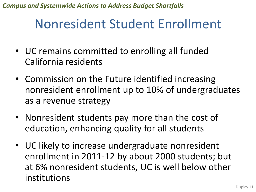## Nonresident Student Enrollment

- UC remains committed to enrolling all funded California residents
- Commission on the Future identified increasing nonresident enrollment up to 10% of undergraduates as a revenue strategy
- Nonresident students pay more than the cost of education, enhancing quality for all students
- UC likely to increase undergraduate nonresident enrollment in 2011-12 by about 2000 students; but at 6% nonresident students, UC is well below other institutions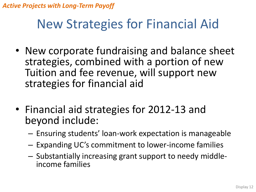#### New Strategies for Financial Aid

- New corporate fundraising and balance sheet strategies, combined with a portion of new Tuition and fee revenue, will support new strategies for financial aid
- Financial aid strategies for 2012-13 and beyond include:
	- Ensuring students' loan-work expectation is manageable
	- Expanding UC's commitment to lower-income families
	- Substantially increasing grant support to needy middleincome families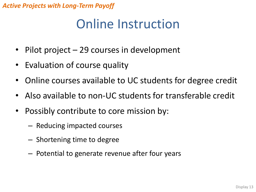## Online Instruction

- Pilot project 29 courses in development
- Evaluation of course quality
- Online courses available to UC students for degree credit
- Also available to non-UC students for transferable credit
- Possibly contribute to core mission by:
	- Reducing impacted courses
	- Shortening time to degree
	- Potential to generate revenue after four years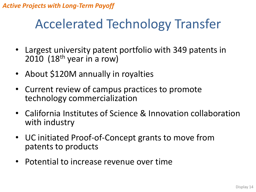#### Accelerated Technology Transfer

- Largest university patent portfolio with 349 patents in 2010  $(18<sup>th</sup>$  year in a row)
- About \$120M annually in royalties
- Current review of campus practices to promote technology commercialization
- California Institutes of Science & Innovation collaboration with industry
- UC initiated Proof-of-Concept grants to move from patents to products
- Potential to increase revenue over time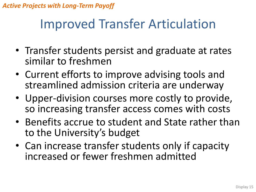#### Improved Transfer Articulation

- Transfer students persist and graduate at rates similar to freshmen
- Current efforts to improve advising tools and streamlined admission criteria are underway
- Upper-division courses more costly to provide, so increasing transfer access comes with costs
- Benefits accrue to student and State rather than to the University's budget
- Can increase transfer students only if capacity increased or fewer freshmen admitted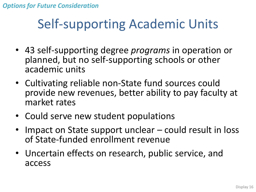#### *Options for Future Consideration*

## Self-supporting Academic Units

- 43 self-supporting degree *programs* in operation or planned, but no self-supporting schools or other academic units
- Cultivating reliable non-State fund sources could provide new revenues, better ability to pay faculty at market rates
- Could serve new student populations
- Impact on State support unclear could result in loss of State-funded enrollment revenue
- Uncertain effects on research, public service, and access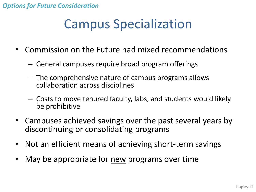## Campus Specialization

- Commission on the Future had mixed recommendations
	- General campuses require broad program offerings
	- The comprehensive nature of campus programs allows collaboration across disciplines
	- Costs to move tenured faculty, labs, and students would likely be prohibitive
- Campuses achieved savings over the past several years by discontinuing or consolidating programs
- Not an efficient means of achieving short-term savings
- May be appropriate for new programs over time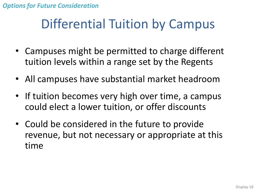## Differential Tuition by Campus

- Campuses might be permitted to charge different tuition levels within a range set by the Regents
- All campuses have substantial market headroom
- If tuition becomes very high over time, a campus could elect a lower tuition, or offer discounts
- Could be considered in the future to provide revenue, but not necessary or appropriate at this time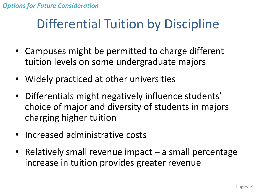## Differential Tuition by Discipline

- Campuses might be permitted to charge different tuition levels on some undergraduate majors
- Widely practiced at other universities
- Differentials might negatively influence students' choice of major and diversity of students in majors charging higher tuition
- Increased administrative costs
- Relatively small revenue impact a small percentage increase in tuition provides greater revenue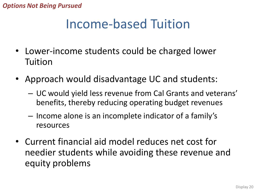*Options Not Being Pursued*

## Income-based Tuition

- Lower-income students could be charged lower Tuition
- Approach would disadvantage UC and students:
	- UC would yield less revenue from Cal Grants and veterans' benefits, thereby reducing operating budget revenues
	- Income alone is an incomplete indicator of a family's resources
- Current financial aid model reduces net cost for needier students while avoiding these revenue and equity problems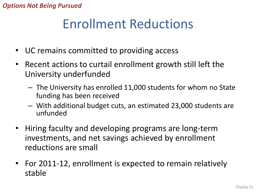## Enrollment Reductions

- UC remains committed to providing access
- Recent actions to curtail enrollment growth still left the University underfunded
	- The University has enrolled 11,000 students for whom no State funding has been received
	- With additional budget cuts, an estimated 23,000 students are unfunded
- Hiring faculty and developing programs are long-term investments, and net savings achieved by enrollment reductions are small
- For 2011-12, enrollment is expected to remain relatively stable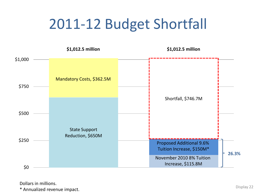# 2011-12 Budget Shortfall



Dollars in millions.

\* Annualized revenue impact. Display 22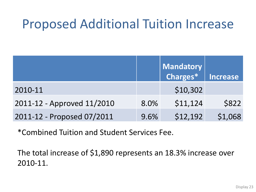## Proposed Additional Tuition Increase

|                            |      | <b>Mandatory</b><br>Charges* | <b>Increase</b> |
|----------------------------|------|------------------------------|-----------------|
| 2010-11                    |      | \$10,302                     |                 |
| 2011-12 - Approved 11/2010 | 8.0% | \$11,124                     | \$822           |
| 2011-12 - Proposed 07/2011 | 9.6% | \$12,192                     | \$1,068         |

\*Combined Tuition and Student Services Fee.

The total increase of \$1,890 represents an 18.3% increase over 2010-11.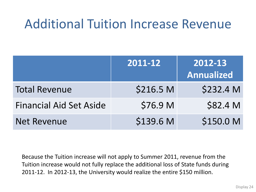### Additional Tuition Increase Revenue

|                                | 2011-12   | 2012-13<br><b>Annualized</b> |
|--------------------------------|-----------|------------------------------|
| <b>Total Revenue</b>           | \$216.5 M | \$232.4 M                    |
| <b>Financial Aid Set Aside</b> | \$76.9 M  | \$82.4 M                     |
| <b>Net Revenue</b>             | \$139.6 M | \$150.0 M                    |

Because the Tuition increase will not apply to Summer 2011, revenue from the Tuition increase would not fully replace the additional loss of State funds during 2011-12. In 2012-13, the University would realize the entire \$150 million.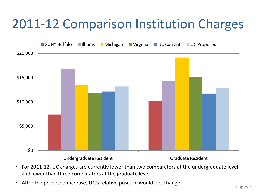## 2011-12 Comparison Institution Charges



- For 2011-12, UC charges are currently lower than two comparators at the undergraduate level and lower than three comparators at the graduate level.
- After the proposed increase, UC's relative position would not change.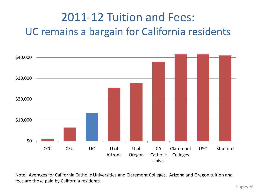#### 2011-12 Tuition and Fees: UC remains a bargain for California residents



Note: Averages for California Catholic Universities and Claremont Colleges. Arizona and Oregon tuition and fees are those paid by California residents.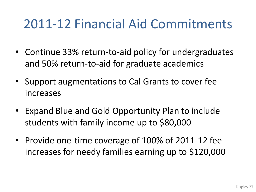## 2011-12 Financial Aid Commitments

- Continue 33% return-to-aid policy for undergraduates and 50% return-to-aid for graduate academics
- Support augmentations to Cal Grants to cover fee increases
- Expand Blue and Gold Opportunity Plan to include students with family income up to \$80,000
- Provide one-time coverage of 100% of 2011-12 fee increases for needy families earning up to \$120,000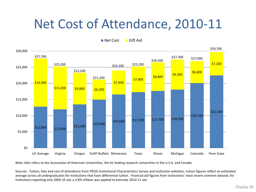#### Net Cost of Attendance, 2010-11

Net Cost Gift Aid



Note: AAU refers to the Association of American Universities, the 61 leading research universities in the U.S.A. and Canada.

Sources: Tuition, fees and cost of attendance from IPEDS Institutional Characteristics Survey and institution websites; tuition figures reflect an estimated average across all undergraduates for institutions that have differential tuition. Financial aid figures from institutions' most recent common dataset; for institutions reporting only 2009-10 aid, a 3.8% inflator was applied to estimate 2010-11 aid.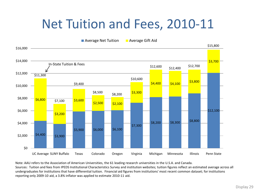#### Net Tuition and Fees, 2010-11



Note: AAU refers to the Association of American Universities, the 61 leading research universities in the U.S.A. and Canada. Sources: Tuition and fees from IPEDS Institutional Characteristics Survey and institution websites; tuition figures reflect an estimated average across all undergraduates for institutions that have differential tuition. Financial aid figures from institutions' most recent common dataset; for institutions reporting only 2009-10 aid, a 3.8% inflator was applied to estimate 2010-11 aid.